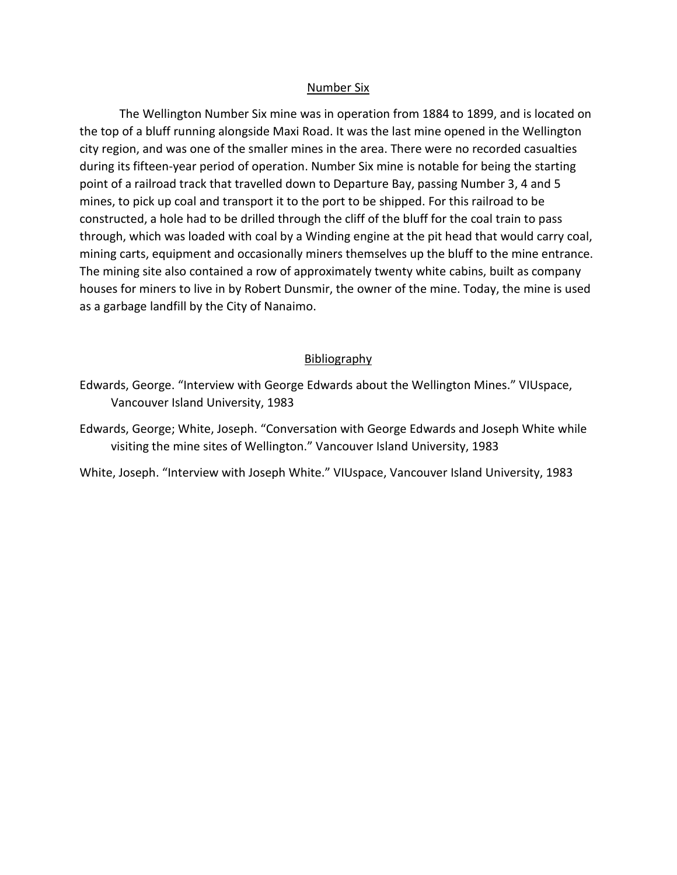## Number Six

The Wellington Number Six mine was in operation from 1884 to 1899, and is located on the top of a bluff running alongside Maxi Road. It was the last mine opened in the Wellington city region, and was one of the smaller mines in the area. There were no recorded casualties during its fifteen-year period of operation. Number Six mine is notable for being the starting point of a railroad track that travelled down to Departure Bay, passing Number 3, 4 and 5 mines, to pick up coal and transport it to the port to be shipped. For this railroad to be constructed, a hole had to be drilled through the cliff of the bluff for the coal train to pass through, which was loaded with coal by a Winding engine at the pit head that would carry coal, mining carts, equipment and occasionally miners themselves up the bluff to the mine entrance. The mining site also contained a row of approximately twenty white cabins, built as company houses for miners to live in by Robert Dunsmir, the owner of the mine. Today, the mine is used as a garbage landfill by the City of Nanaimo.

## **Bibliography**

Edwards, George; White, Joseph. "Conversation with George Edwards and Joseph White while visiting the mine sites of Wellington." Vancouver Island University, 1983

White, Joseph. "Interview with Joseph White." VIUspace, Vancouver Island University, 1983

Edwards, George. "Interview with George Edwards about the Wellington Mines." VIUspace, Vancouver Island University, 1983